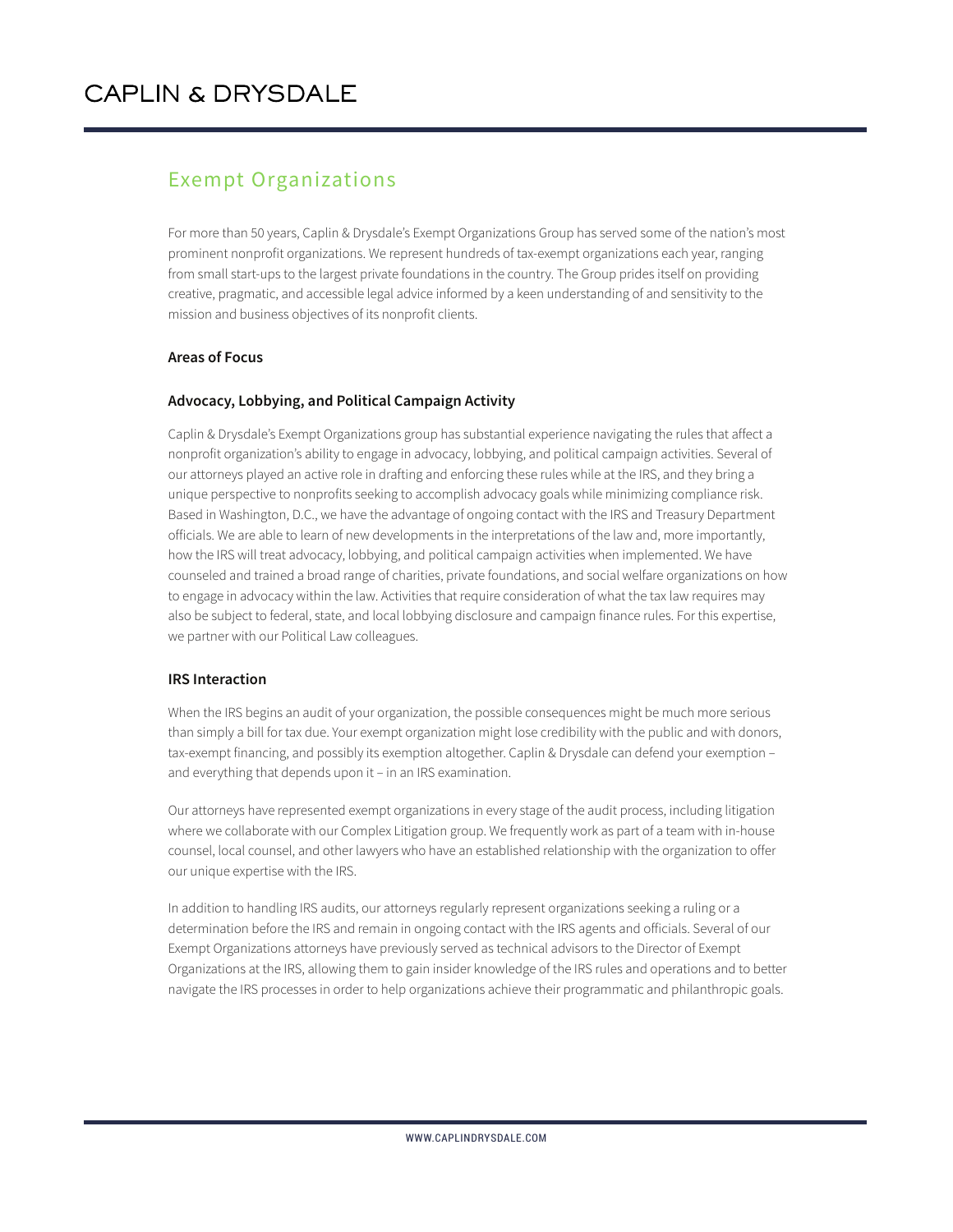### Exempt Organizations

For more than 50 years, Caplin & Drysdale's Exempt Organizations Group has served some of the nation's most prominent nonprofit organizations. We represent hundreds of tax-exempt organizations each year, ranging from small start-ups to the largest private foundations in the country. The Group prides itself on providing creative, pragmatic, and accessible legal advice informed by a keen understanding of and sensitivity to the mission and business objectives of its nonprofit clients.

#### **Areas of Focus**

#### **Advocacy, Lobbying, and Political Campaign Activity**

Caplin & Drysdale's Exempt Organizations group has substantial experience navigating the rules that affect a nonprofit organization's ability to engage in advocacy, lobbying, and political campaign activities. Several of our attorneys played an active role in drafting and enforcing these rules while at the IRS, and they bring a unique perspective to nonprofits seeking to accomplish advocacy goals while minimizing compliance risk. Based in Washington, D.C., we have the advantage of ongoing contact with the IRS and Treasury Department officials. We are able to learn of new developments in the interpretations of the law and, more importantly, how the IRS will treat advocacy, lobbying, and political campaign activities when implemented. We have counseled and trained a broad range of charities, private foundations, and social welfare organizations on how to engage in advocacy within the law. Activities that require consideration of what the tax law requires may also be subject to federal, state, and local lobbying disclosure and campaign finance rules. For this expertise, we partner with our Political Law colleagues.

#### **IRS Interaction**

When the IRS begins an audit of your organization, the possible consequences might be much more serious than simply a bill for tax due. Your exempt organization might lose credibility with the public and with donors, tax-exempt financing, and possibly its exemption altogether. Caplin & Drysdale can defend your exemption – and everything that depends upon it – in an IRS examination.

Our attorneys have represented exempt organizations in every stage of the audit process, including litigation where we collaborate with our Complex Litigation group. We frequently work as part of a team with in-house counsel, local counsel, and other lawyers who have an established relationship with the organization to offer our unique expertise with the IRS.

In addition to handling IRS audits, our attorneys regularly represent organizations seeking a ruling or a determination before the IRS and remain in ongoing contact with the IRS agents and officials. Several of our Exempt Organizations attorneys have previously served as technical advisors to the Director of Exempt Organizations at the IRS, allowing them to gain insider knowledge of the IRS rules and operations and to better navigate the IRS processes in order to help organizations achieve their programmatic and philanthropic goals.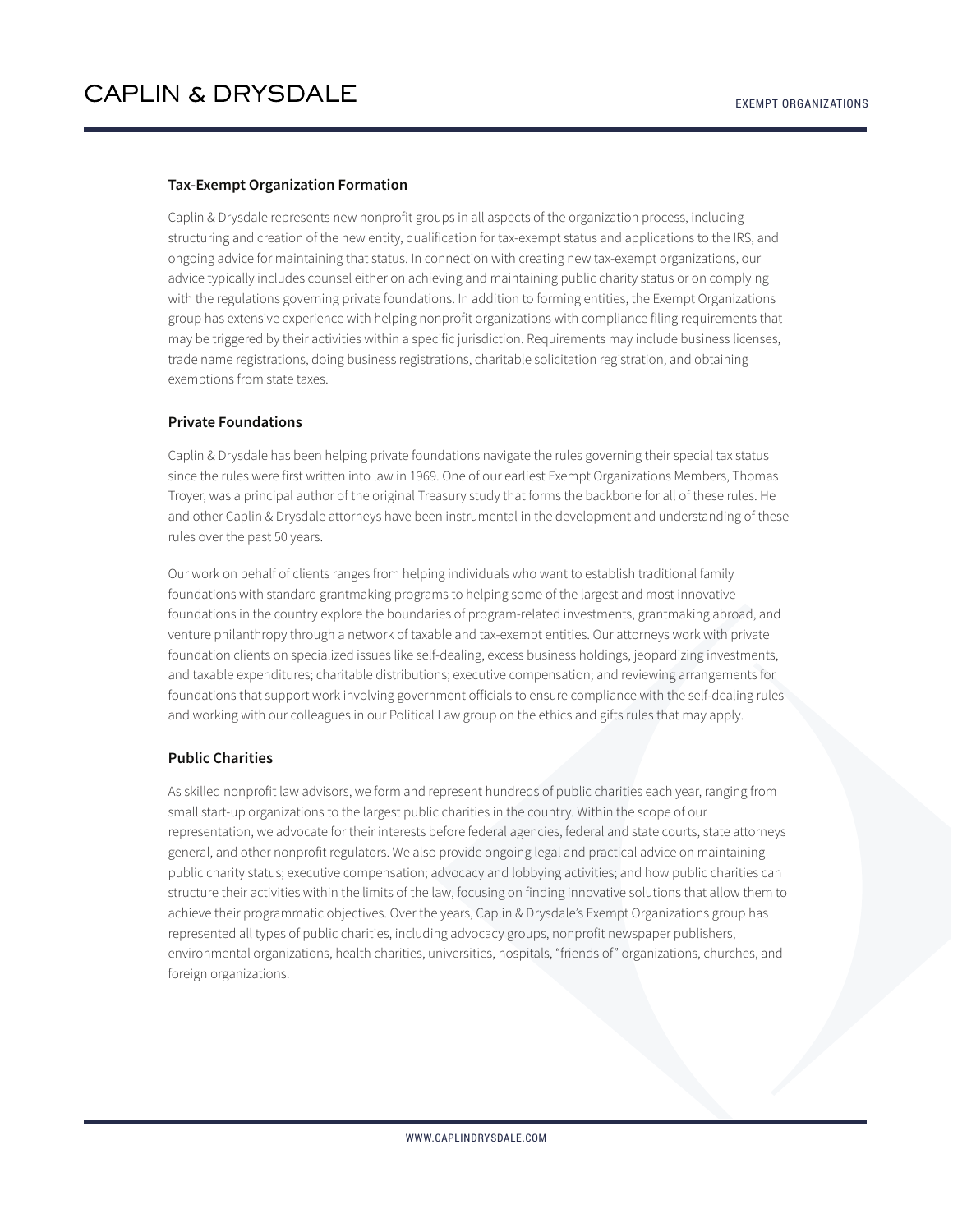#### **Tax-Exempt Organization Formation**

Caplin & Drysdale represents new nonprofit groups in all aspects of the organization process, including structuring and creation of the new entity, qualification for tax-exempt status and applications to the IRS, and ongoing advice for maintaining that status. In connection with creating new tax-exempt organizations, our advice typically includes counsel either on achieving and maintaining public charity status or on complying with the regulations governing private foundations. In addition to forming entities, the Exempt Organizations group has extensive experience with helping nonprofit organizations with compliance filing requirements that may be triggered by their activities within a specific jurisdiction. Requirements may include business licenses, trade name registrations, doing business registrations, charitable solicitation registration, and obtaining exemptions from state taxes.

#### **Private Foundations**

Caplin & Drysdale has been helping private foundations navigate the rules governing their special tax status since the rules were first written into law in 1969. One of our earliest Exempt Organizations Members, Thomas Troyer, was a principal author of the original Treasury study that forms the backbone for all of these rules. He and other Caplin & Drysdale attorneys have been instrumental in the development and understanding of these rules over the past 50 years.

Our work on behalf of clients ranges from helping individuals who want to establish traditional family foundations with standard grantmaking programs to helping some of the largest and most innovative foundations in the country explore the boundaries of program-related investments, grantmaking abroad, and venture philanthropy through a network of taxable and tax-exempt entities. Our attorneys work with private foundation clients on specialized issues like self-dealing, excess business holdings, jeopardizing investments, and taxable expenditures; charitable distributions; executive compensation; and reviewing arrangements for foundations that support work involving government officials to ensure compliance with the self-dealing rules and working with our colleagues in our Political Law group on the ethics and gifts rules that may apply.

#### **Public Charities**

As skilled nonprofit law advisors, we form and represent hundreds of public charities each year, ranging from small start-up organizations to the largest public charities in the country. Within the scope of our representation, we advocate for their interests before federal agencies, federal and state courts, state attorneys general, and other nonprofit regulators. We also provide ongoing legal and practical advice on maintaining public charity status; executive compensation; advocacy and lobbying activities; and how public charities can structure their activities within the limits of the law, focusing on finding innovative solutions that allow them to achieve their programmatic objectives. Over the years, Caplin & Drysdale's Exempt Organizations group has represented all types of public charities, including advocacy groups, nonprofit newspaper publishers, environmental organizations, health charities, universities, hospitals, "friends of" organizations, churches, and foreign organizations.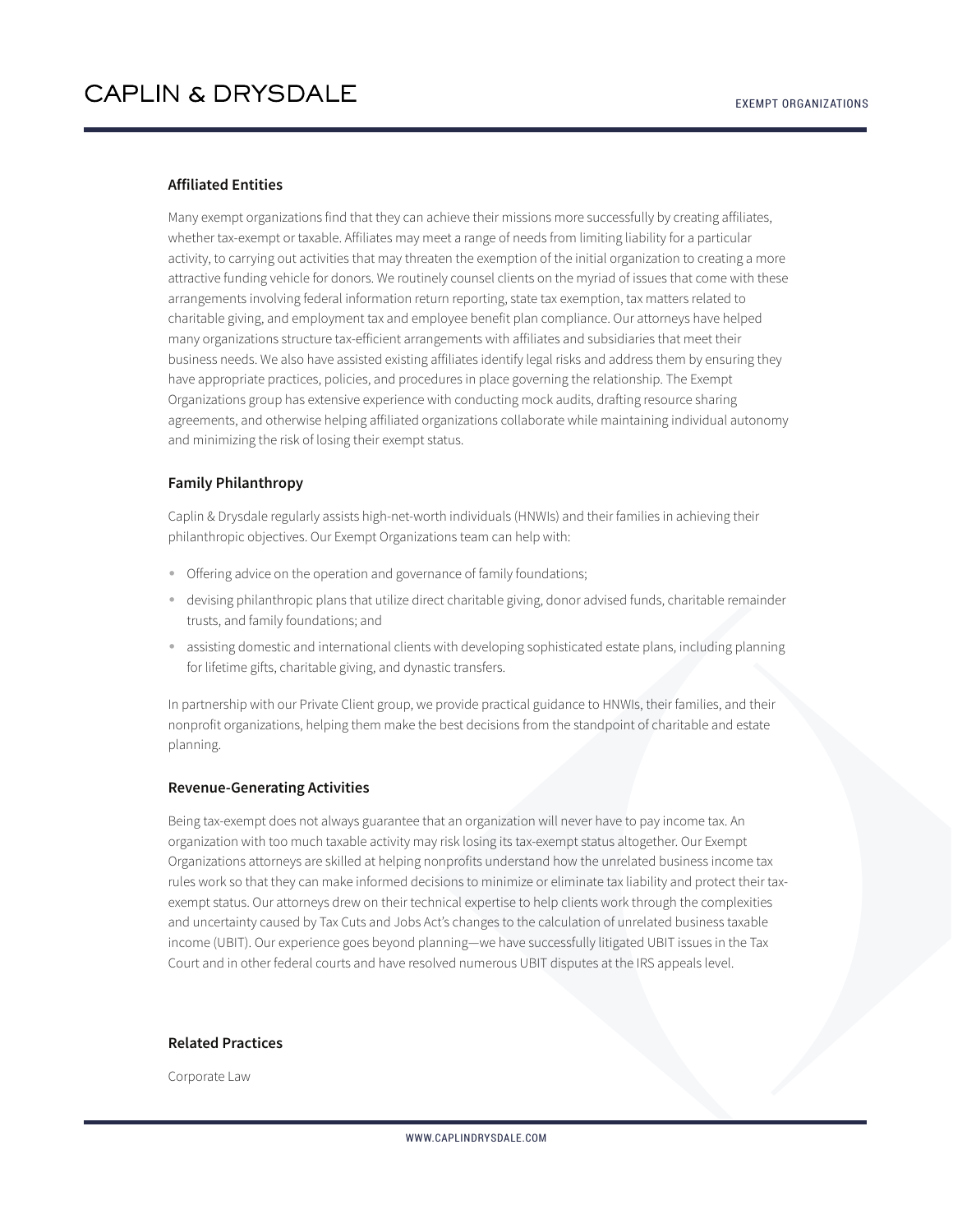#### **Affiliated Entities**

Many exempt organizations find that they can achieve their missions more successfully by creating affiliates, whether tax-exempt or taxable. Affiliates may meet a range of needs from limiting liability for a particular activity, to carrying out activities that may threaten the exemption of the initial organization to creating a more attractive funding vehicle for donors. We routinely counsel clients on the myriad of issues that come with these arrangements involving federal information return reporting, state tax exemption, tax matters related to charitable giving, and employment tax and employee benefit plan compliance. Our attorneys have helped many organizations structure tax-efficient arrangements with affiliates and subsidiaries that meet their business needs. We also have assisted existing affiliates identify legal risks and address them by ensuring they have appropriate practices, policies, and procedures in place governing the relationship. The Exempt Organizations group has extensive experience with conducting mock audits, drafting resource sharing agreements, and otherwise helping affiliated organizations collaborate while maintaining individual autonomy and minimizing the risk of losing their exempt status.

#### **Family Philanthropy**

Caplin & Drysdale regularly assists high-net-worth individuals (HNWIs) and their families in achieving their philanthropic objectives. Our Exempt Organizations team can help with:

- Offering advice on the operation and governance of family foundations;
- devising philanthropic plans that utilize direct charitable giving, donor advised funds, charitable remainder trusts, and family foundations; and
- assisting domestic and international clients with developing sophisticated estate plans, including planning for lifetime gifts, charitable giving, and dynastic transfers.

In partnership with our Private Client group, we provide practical guidance to HNWIs, their families, and their nonprofit organizations, helping them make the best decisions from the standpoint of charitable and estate planning.

#### **Revenue-Generating Activities**

Being tax-exempt does not always guarantee that an organization will never have to pay income tax. An organization with too much taxable activity may risk losing its tax-exempt status altogether. Our Exempt Organizations attorneys are skilled at helping nonprofits understand how the unrelated business income tax rules work so that they can make informed decisions to minimize or eliminate tax liability and protect their taxexempt status. Our attorneys drew on their technical expertise to help clients work through the complexities and uncertainty caused by Tax Cuts and Jobs Act's changes to the calculation of unrelated business taxable income (UBIT). Our experience goes beyond planning—we have successfully litigated UBIT issues in the Tax Court and in other federal courts and have resolved numerous UBIT disputes at the IRS appeals level.

#### **Related Practices**

Corporate Law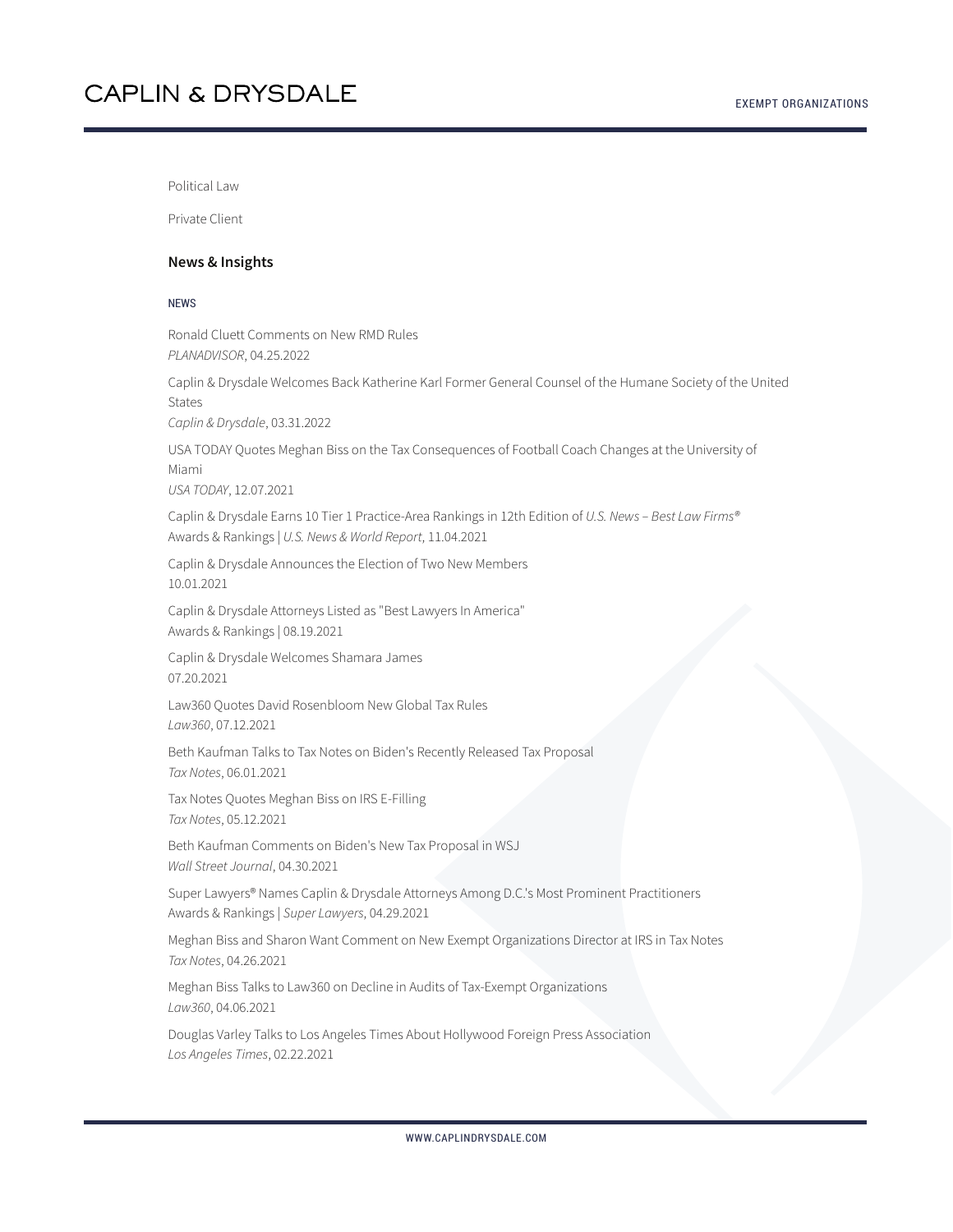Political Law

Private Client

#### **News & Insights**

#### **NEWS**

Ronald Cluett Comments on New RMD Rules *PLANADVISOR*, 04.25.2022

Caplin & Drysdale Welcomes Back Katherine Karl Former General Counsel of the Humane Society of the United States

*Caplin & Drysdale*, 03.31.2022

USA TODAY Quotes Meghan Biss on the Tax Consequences of Football Coach Changes at the University of Miami *USA TODAY*, 12.07.2021

Caplin & Drysdale Earns 10 Tier 1 Practice-Area Rankings in 12th Edition of *U.S. News – Best Law Firms®* Awards & Rankings | *U.S. News & World Report*, 11.04.2021

Caplin & Drysdale Announces the Election of Two New Members 10.01.2021

Caplin & Drysdale Attorneys Listed as "Best Lawyers In America" Awards & Rankings | 08.19.2021

Caplin & Drysdale Welcomes Shamara James 07.20.2021

Law360 Quotes David Rosenbloom New Global Tax Rules *Law360*, 07.12.2021

Beth Kaufman Talks to Tax Notes on Biden's Recently Released Tax Proposal *Tax Notes*, 06.01.2021

Tax Notes Quotes Meghan Biss on IRS E-Filling *Tax Notes*, 05.12.2021

Beth Kaufman Comments on Biden's New Tax Proposal in WSJ *Wall Street Journal*, 04.30.2021

Super Lawyers® Names Caplin & Drysdale Attorneys Among D.C.'s Most Prominent Practitioners Awards & Rankings | *Super Lawyers*, 04.29.2021

Meghan Biss and Sharon Want Comment on New Exempt Organizations Director at IRS in Tax Notes *Tax Notes*, 04.26.2021

Meghan Biss Talks to Law360 on Decline in Audits of Tax-Exempt Organizations *Law360*, 04.06.2021

Douglas Varley Talks to Los Angeles Times About Hollywood Foreign Press Association *Los Angeles Times*, 02.22.2021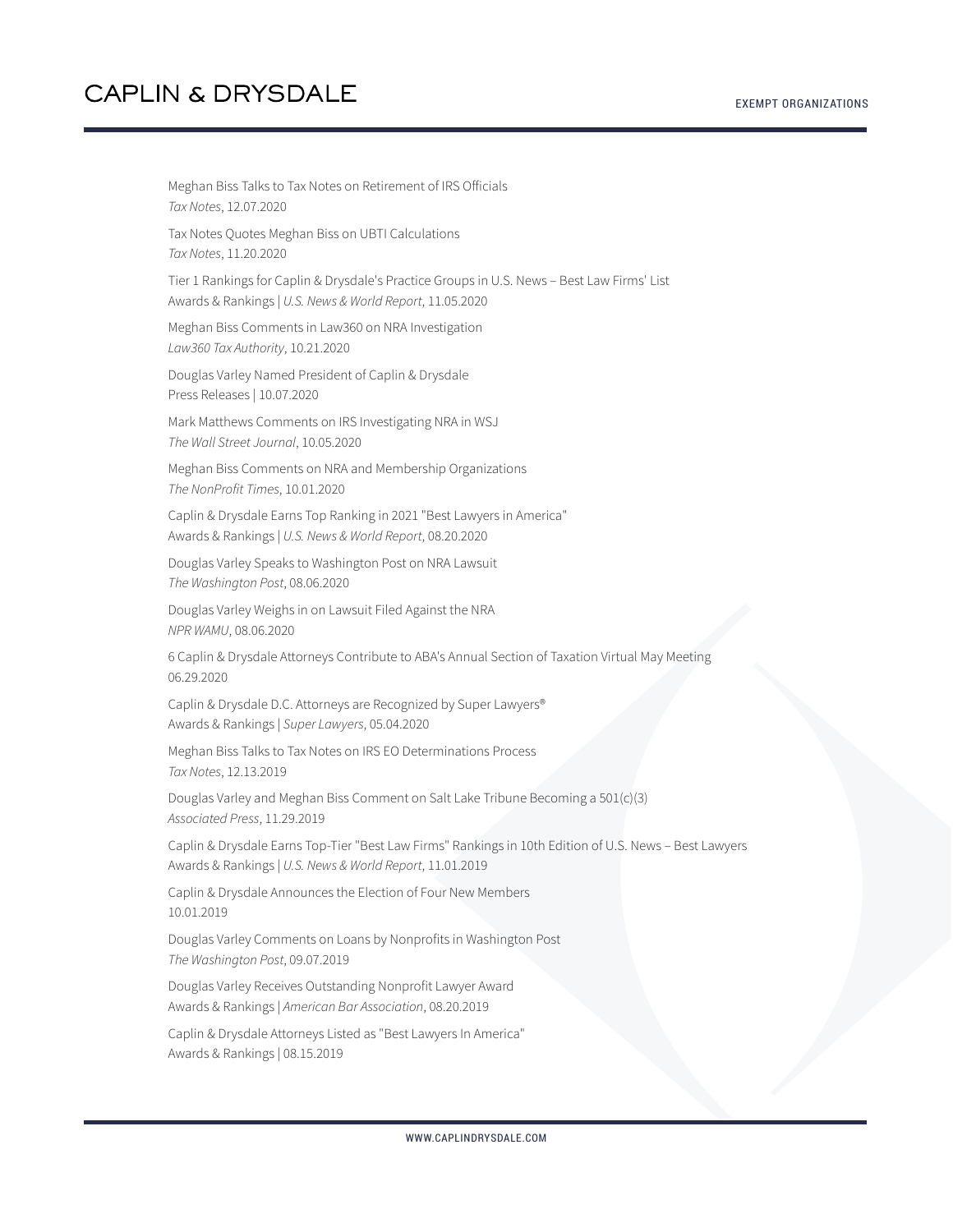Meghan Biss Talks to Tax Notes on Retirement of IRS Officials *Tax Notes*, 12.07.2020 Tax Notes Quotes Meghan Biss on UBTI Calculations *Tax Notes*, 11.20.2020 Tier 1 Rankings for Caplin & Drysdale's Practice Groups in U.S. News – Best Law Firms' List Awards & Rankings | *U.S. News & World Report*, 11.05.2020 Meghan Biss Comments in Law360 on NRA Investigation *Law360 Tax Authority*, 10.21.2020 Douglas Varley Named President of Caplin & Drysdale Press Releases | 10.07.2020 Mark Matthews Comments on IRS Investigating NRA in WSJ *The Wall Street Journal*, 10.05.2020 Meghan Biss Comments on NRA and Membership Organizations *The NonProfit Times*, 10.01.2020 Caplin & Drysdale Earns Top Ranking in 2021 "Best Lawyers in America" Awards & Rankings | *U.S. News & World Report*, 08.20.2020 Douglas Varley Speaks to Washington Post on NRA Lawsuit *The Washington Post*, 08.06.2020 Douglas Varley Weighs in on Lawsuit Filed Against the NRA *NPR WAMU*, 08.06.2020 6 Caplin & Drysdale Attorneys Contribute to ABA's Annual Section of Taxation Virtual May Meeting 06.29.2020 Caplin & Drysdale D.C. Attorneys are Recognized by Super Lawyers® Awards & Rankings | *Super Lawyers*, 05.04.2020 Meghan Biss Talks to Tax Notes on IRS EO Determinations Process *Tax Notes*, 12.13.2019 Douglas Varley and Meghan Biss Comment on Salt Lake Tribune Becoming a 501(c)(3) *Associated Press*, 11.29.2019 Caplin & Drysdale Earns Top-Tier "Best Law Firms" Rankings in 10th Edition of U.S. News – Best Lawyers Awards & Rankings | *U.S. News & World Report*, 11.01.2019 Caplin & Drysdale Announces the Election of Four New Members 10.01.2019 Douglas Varley Comments on Loans by Nonprofits in Washington Post *The Washington Post*, 09.07.2019 Douglas Varley Receives Outstanding Nonprofit Lawyer Award Awards & Rankings | *American Bar Association*, 08.20.2019 Caplin & Drysdale Attorneys Listed as "Best Lawyers In America" Awards & Rankings | 08.15.2019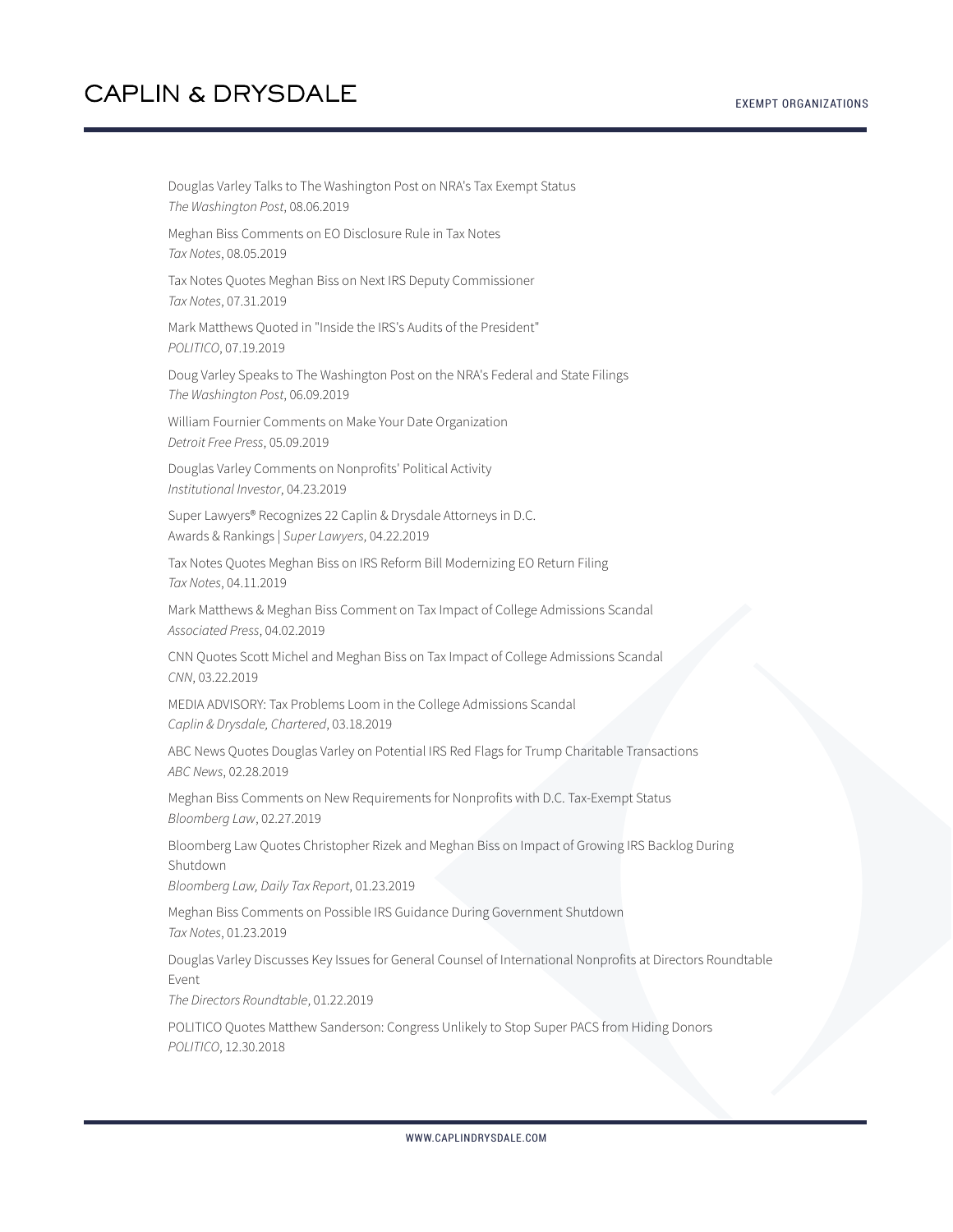Douglas Varley Talks to The Washington Post on NRA's Tax Exempt Status *The Washington Post*, 08.06.2019 Meghan Biss Comments on EO Disclosure Rule in Tax Notes *Tax Notes*, 08.05.2019 Tax Notes Quotes Meghan Biss on Next IRS Deputy Commissioner *Tax Notes*, 07.31.2019 Mark Matthews Quoted in "Inside the IRS's Audits of the President" *POLITICO*, 07.19.2019 Doug Varley Speaks to The Washington Post on the NRA's Federal and State Filings *The Washington Post*, 06.09.2019 William Fournier Comments on Make Your Date Organization *Detroit Free Press*, 05.09.2019 Douglas Varley Comments on Nonprofits' Political Activity *Institutional Investor*, 04.23.2019 Super Lawyers® Recognizes 22 Caplin & Drysdale Attorneys in D.C. Awards & Rankings | *Super Lawyers*, 04.22.2019 Tax Notes Quotes Meghan Biss on IRS Reform Bill Modernizing EO Return Filing *Tax Notes*, 04.11.2019 Mark Matthews & Meghan Biss Comment on Tax Impact of College Admissions Scandal *Associated Press*, 04.02.2019 CNN Quotes Scott Michel and Meghan Biss on Tax Impact of College Admissions Scandal *CNN*, 03.22.2019 MEDIA ADVISORY: Tax Problems Loom in the College Admissions Scandal *Caplin & Drysdale, Chartered*, 03.18.2019 ABC News Quotes Douglas Varley on Potential IRS Red Flags for Trump Charitable Transactions *ABC News*, 02.28.2019 Meghan Biss Comments on New Requirements for Nonprofits with D.C. Tax-Exempt Status *Bloomberg Law*, 02.27.2019 Bloomberg Law Quotes Christopher Rizek and Meghan Biss on Impact of Growing IRS Backlog During Shutdown *Bloomberg Law, Daily Tax Report*, 01.23.2019 Meghan Biss Comments on Possible IRS Guidance During Government Shutdown *Tax Notes*, 01.23.2019 Douglas Varley Discusses Key Issues for General Counsel of International Nonprofits at Directors Roundtable Event *The Directors Roundtable*, 01.22.2019 POLITICO Quotes Matthew Sanderson: Congress Unlikely to Stop Super PACS from Hiding Donors *POLITICO*, 12.30.2018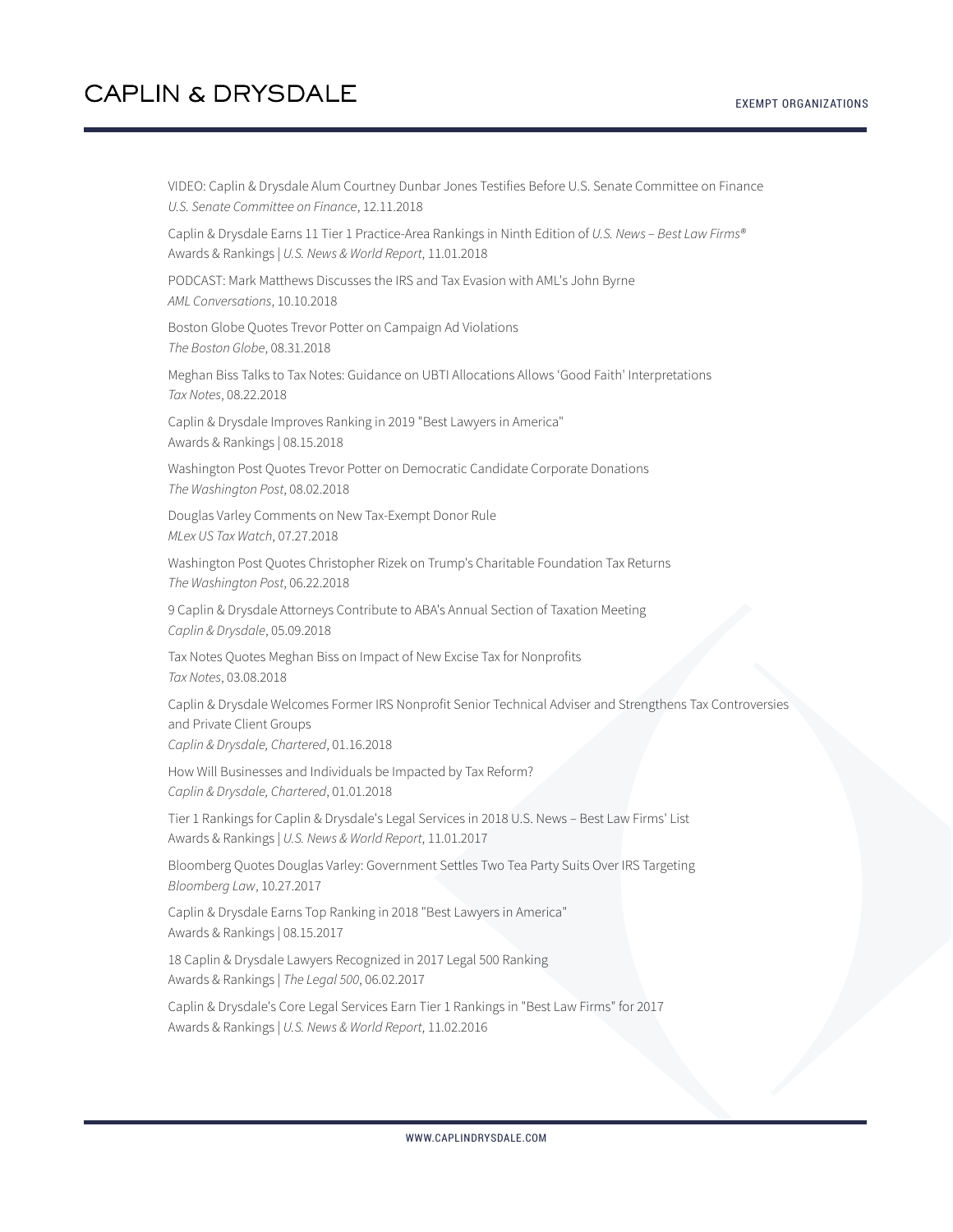VIDEO: Caplin & Drysdale Alum Courtney Dunbar Jones Testifies Before U.S. Senate Committee on Finance *U.S. Senate Committee on Finance*, 12.11.2018

Caplin & Drysdale Earns 11 Tier 1 Practice-Area Rankings in Ninth Edition of *U.S. News – Best Law Firms®* Awards & Rankings | *U.S. News & World Report*, 11.01.2018

PODCAST: Mark Matthews Discusses the IRS and Tax Evasion with AML's John Byrne *AML Conversations*, 10.10.2018

Boston Globe Quotes Trevor Potter on Campaign Ad Violations *The Boston Globe*, 08.31.2018

Meghan Biss Talks to Tax Notes: Guidance on UBTI Allocations Allows 'Good Faith' Interpretations *Tax Notes*, 08.22.2018

Caplin & Drysdale Improves Ranking in 2019 "Best Lawyers in America" Awards & Rankings | 08.15.2018

Washington Post Quotes Trevor Potter on Democratic Candidate Corporate Donations *The Washington Post*, 08.02.2018

Douglas Varley Comments on New Tax-Exempt Donor Rule *MLex US Tax Watch*, 07.27.2018

Washington Post Quotes Christopher Rizek on Trump's Charitable Foundation Tax Returns *The Washington Post*, 06.22.2018

9 Caplin & Drysdale Attorneys Contribute to ABA's Annual Section of Taxation Meeting *Caplin & Drysdale*, 05.09.2018

Tax Notes Quotes Meghan Biss on Impact of New Excise Tax for Nonprofits *Tax Notes*, 03.08.2018

Caplin & Drysdale Welcomes Former IRS Nonprofit Senior Technical Adviser and Strengthens Tax Controversies and Private Client Groups *Caplin & Drysdale, Chartered*, 01.16.2018

How Will Businesses and Individuals be Impacted by Tax Reform? *Caplin & Drysdale, Chartered*, 01.01.2018

Tier 1 Rankings for Caplin & Drysdale's Legal Services in 2018 U.S. News – Best Law Firms' List Awards & Rankings | *U.S. News & World Report*, 11.01.2017

Bloomberg Quotes Douglas Varley: Government Settles Two Tea Party Suits Over IRS Targeting *Bloomberg Law*, 10.27.2017

Caplin & Drysdale Earns Top Ranking in 2018 "Best Lawyers in America" Awards & Rankings | 08.15.2017

18 Caplin & Drysdale Lawyers Recognized in 2017 Legal 500 Ranking Awards & Rankings | *The Legal 500*, 06.02.2017

Caplin & Drysdale's Core Legal Services Earn Tier 1 Rankings in "Best Law Firms" for 2017 Awards & Rankings | *U.S. News & World Report*, 11.02.2016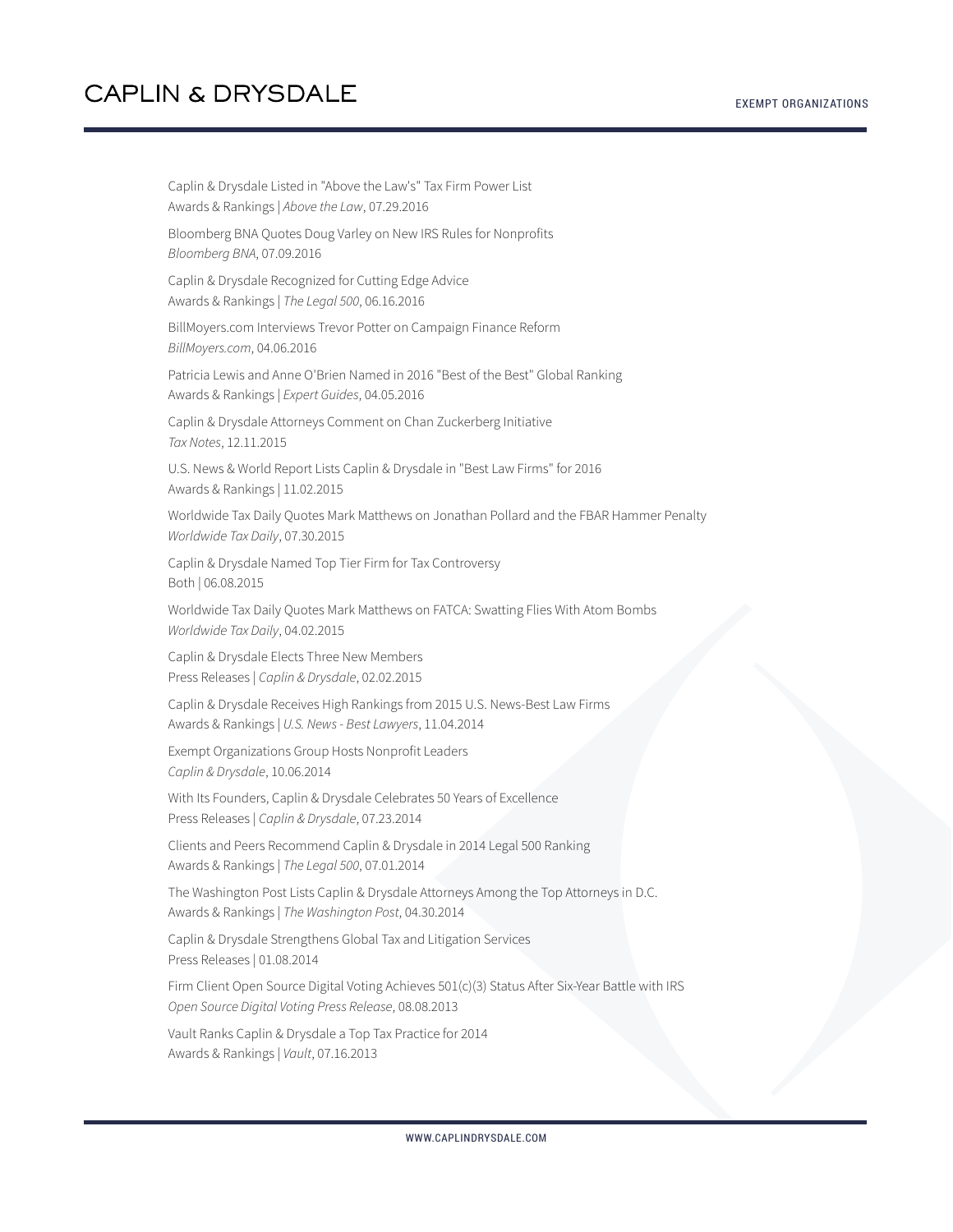Caplin & Drysdale Listed in "Above the Law's" Tax Firm Power List Awards & Rankings | *Above the Law*, 07.29.2016 Bloomberg BNA Quotes Doug Varley on New IRS Rules for Nonprofits *Bloomberg BNA*, 07.09.2016 Caplin & Drysdale Recognized for Cutting Edge Advice Awards & Rankings | *The Legal 500*, 06.16.2016 BillMoyers.com Interviews Trevor Potter on Campaign Finance Reform *BillMoyers.com*, 04.06.2016 Patricia Lewis and Anne O'Brien Named in 2016 "Best of the Best" Global Ranking Awards & Rankings | *Expert Guides*, 04.05.2016 Caplin & Drysdale Attorneys Comment on Chan Zuckerberg Initiative *Tax Notes*, 12.11.2015 U.S. News & World Report Lists Caplin & Drysdale in "Best Law Firms" for 2016 Awards & Rankings | 11.02.2015 Worldwide Tax Daily Quotes Mark Matthews on Jonathan Pollard and the FBAR Hammer Penalty *Worldwide Tax Daily*, 07.30.2015 Caplin & Drysdale Named Top Tier Firm for Tax Controversy Both | 06.08.2015 Worldwide Tax Daily Quotes Mark Matthews on FATCA: Swatting Flies With Atom Bombs *Worldwide Tax Daily*, 04.02.2015 Caplin & Drysdale Elects Three New Members Press Releases | *Caplin & Drysdale*, 02.02.2015 Caplin & Drysdale Receives High Rankings from 2015 U.S. News-Best Law Firms Awards & Rankings | *U.S. News - Best Lawyers*, 11.04.2014 Exempt Organizations Group Hosts Nonprofit Leaders *Caplin & Drysdale*, 10.06.2014 With Its Founders, Caplin & Drysdale Celebrates 50 Years of Excellence Press Releases | *Caplin & Drysdale*, 07.23.2014 Clients and Peers Recommend Caplin & Drysdale in 2014 Legal 500 Ranking Awards & Rankings | *The Legal 500*, 07.01.2014 The Washington Post Lists Caplin & Drysdale Attorneys Among the Top Attorneys in D.C. Awards & Rankings | *The Washington Post*, 04.30.2014 Caplin & Drysdale Strengthens Global Tax and Litigation Services Press Releases | 01.08.2014 Firm Client Open Source Digital Voting Achieves 501(c)(3) Status After Six-Year Battle with IRS *Open Source Digital Voting Press Release*, 08.08.2013 Vault Ranks Caplin & Drysdale a Top Tax Practice for 2014 Awards & Rankings | *Vault*, 07.16.2013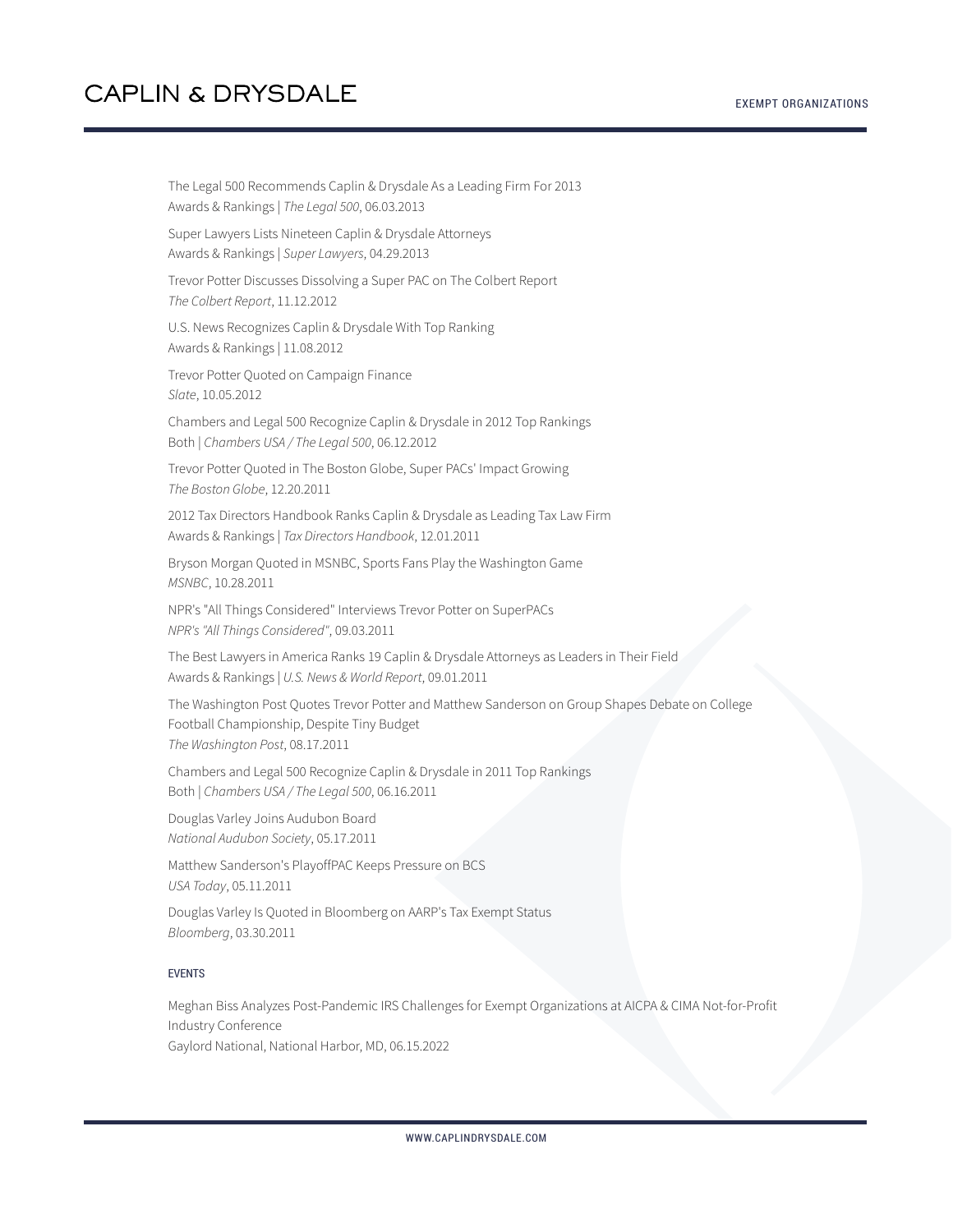The Legal 500 Recommends Caplin & Drysdale As a Leading Firm For 2013 Awards & Rankings | *The Legal 500*, 06.03.2013

Super Lawyers Lists Nineteen Caplin & Drysdale Attorneys Awards & Rankings | *Super Lawyers*, 04.29.2013

Trevor Potter Discusses Dissolving a Super PAC on The Colbert Report *The Colbert Report*, 11.12.2012

U.S. News Recognizes Caplin & Drysdale With Top Ranking Awards & Rankings | 11.08.2012

Trevor Potter Quoted on Campaign Finance *Slate*, 10.05.2012

Chambers and Legal 500 Recognize Caplin & Drysdale in 2012 Top Rankings Both | *Chambers USA / The Legal 500*, 06.12.2012

Trevor Potter Quoted in The Boston Globe, Super PACs' Impact Growing *The Boston Globe*, 12.20.2011

2012 Tax Directors Handbook Ranks Caplin & Drysdale as Leading Tax Law Firm Awards & Rankings | *Tax Directors Handbook*, 12.01.2011

Bryson Morgan Quoted in MSNBC, Sports Fans Play the Washington Game *MSNBC*, 10.28.2011

NPR's "All Things Considered" Interviews Trevor Potter on SuperPACs *NPR's "All Things Considered"*, 09.03.2011

The Best Lawyers in America Ranks 19 Caplin & Drysdale Attorneys as Leaders in Their Field Awards & Rankings | *U.S. News & World Report*, 09.01.2011

The Washington Post Quotes Trevor Potter and Matthew Sanderson on Group Shapes Debate on College Football Championship, Despite Tiny Budget *The Washington Post*, 08.17.2011

Chambers and Legal 500 Recognize Caplin & Drysdale in 2011 Top Rankings Both | *Chambers USA / The Legal 500*, 06.16.2011

Douglas Varley Joins Audubon Board *National Audubon Society*, 05.17.2011

Matthew Sanderson's PlayoffPAC Keeps Pressure on BCS *USA Today*, 05.11.2011

Douglas Varley Is Quoted in Bloomberg on AARP's Tax Exempt Status *Bloomberg*, 03.30.2011

#### EVENTS

Meghan Biss Analyzes Post-Pandemic IRS Challenges for Exempt Organizations at AICPA & CIMA Not-for-Profit Industry Conference Gaylord National, National Harbor, MD, 06.15.2022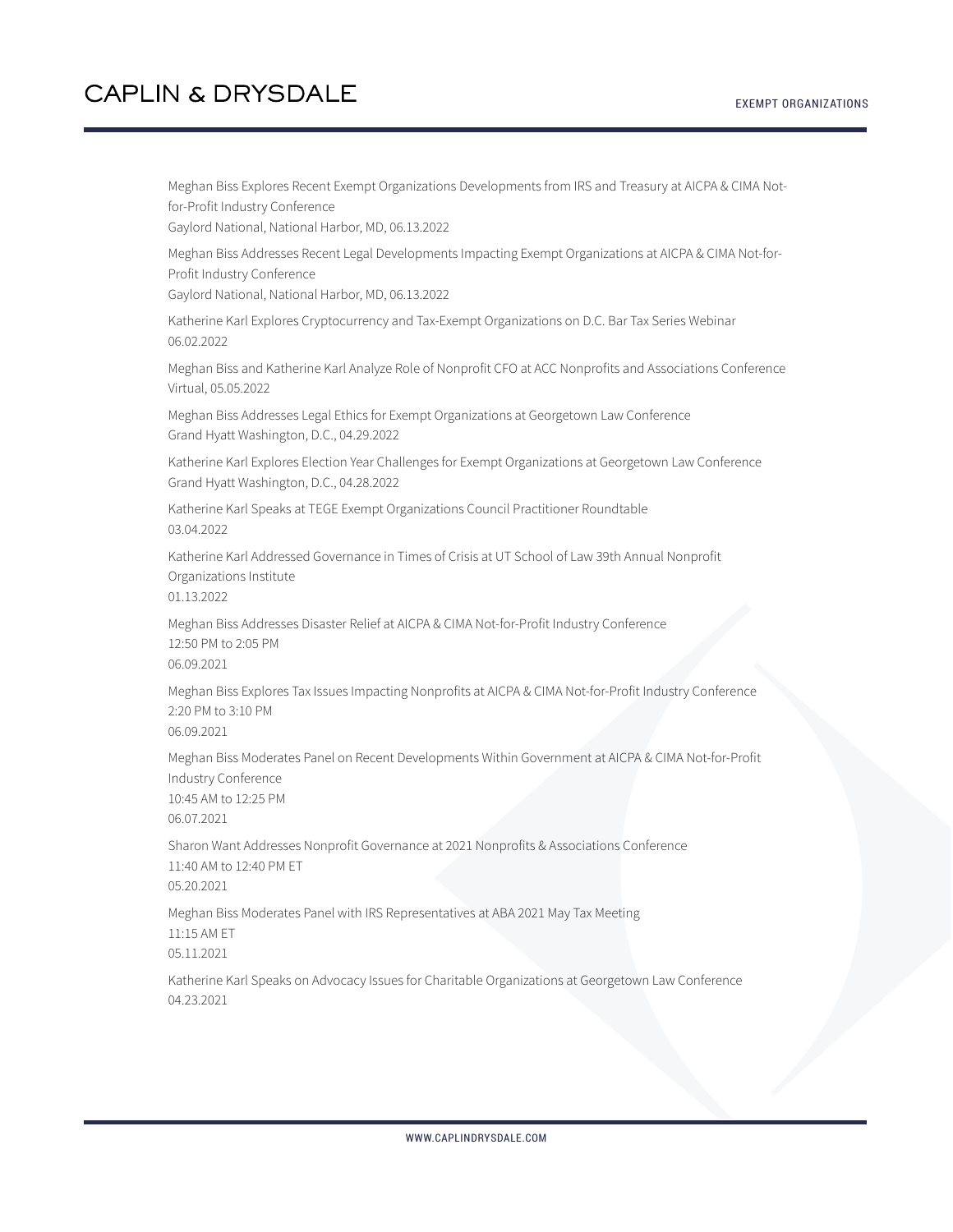Meghan Biss Explores Recent Exempt Organizations Developments from IRS and Treasury at AICPA & CIMA Notfor-Profit Industry Conference Gaylord National, National Harbor, MD, 06.13.2022 Meghan Biss Addresses Recent Legal Developments Impacting Exempt Organizations at AICPA & CIMA Not-for-Profit Industry Conference Gaylord National, National Harbor, MD, 06.13.2022 Katherine Karl Explores Cryptocurrency and Tax-Exempt Organizations on D.C. Bar Tax Series Webinar 06.02.2022 Meghan Biss and Katherine Karl Analyze Role of Nonprofit CFO at ACC Nonprofits and Associations Conference Virtual, 05.05.2022 Meghan Biss Addresses Legal Ethics for Exempt Organizations at Georgetown Law Conference Grand Hyatt Washington, D.C., 04.29.2022 Katherine Karl Explores Election Year Challenges for Exempt Organizations at Georgetown Law Conference Grand Hyatt Washington, D.C., 04.28.2022 Katherine Karl Speaks at TEGE Exempt Organizations Council Practitioner Roundtable 03.04.2022 Katherine Karl Addressed Governance in Times of Crisis at UT School of Law 39th Annual Nonprofit Organizations Institute 01.13.2022 Meghan Biss Addresses Disaster Relief at AICPA & CIMA Not-for-Profit Industry Conference 12:50 PM to 2:05 PM 06.09.2021 Meghan Biss Explores Tax Issues Impacting Nonprofits at AICPA & CIMA Not-for-Profit Industry Conference 2:20 PM to 3:10 PM 06.09.2021 Meghan Biss Moderates Panel on Recent Developments Within Government at AICPA & CIMA Not-for-Profit Industry Conference 10:45 AM to 12:25 PM 06.07.2021 Sharon Want Addresses Nonprofit Governance at 2021 Nonprofits & Associations Conference 11:40 AM to 12:40 PM ET 05.20.2021 Meghan Biss Moderates Panel with IRS Representatives at ABA 2021 May Tax Meeting 11:15 AM ET 05.11.2021 Katherine Karl Speaks on Advocacy Issues for Charitable Organizations at Georgetown Law Conference 04.23.2021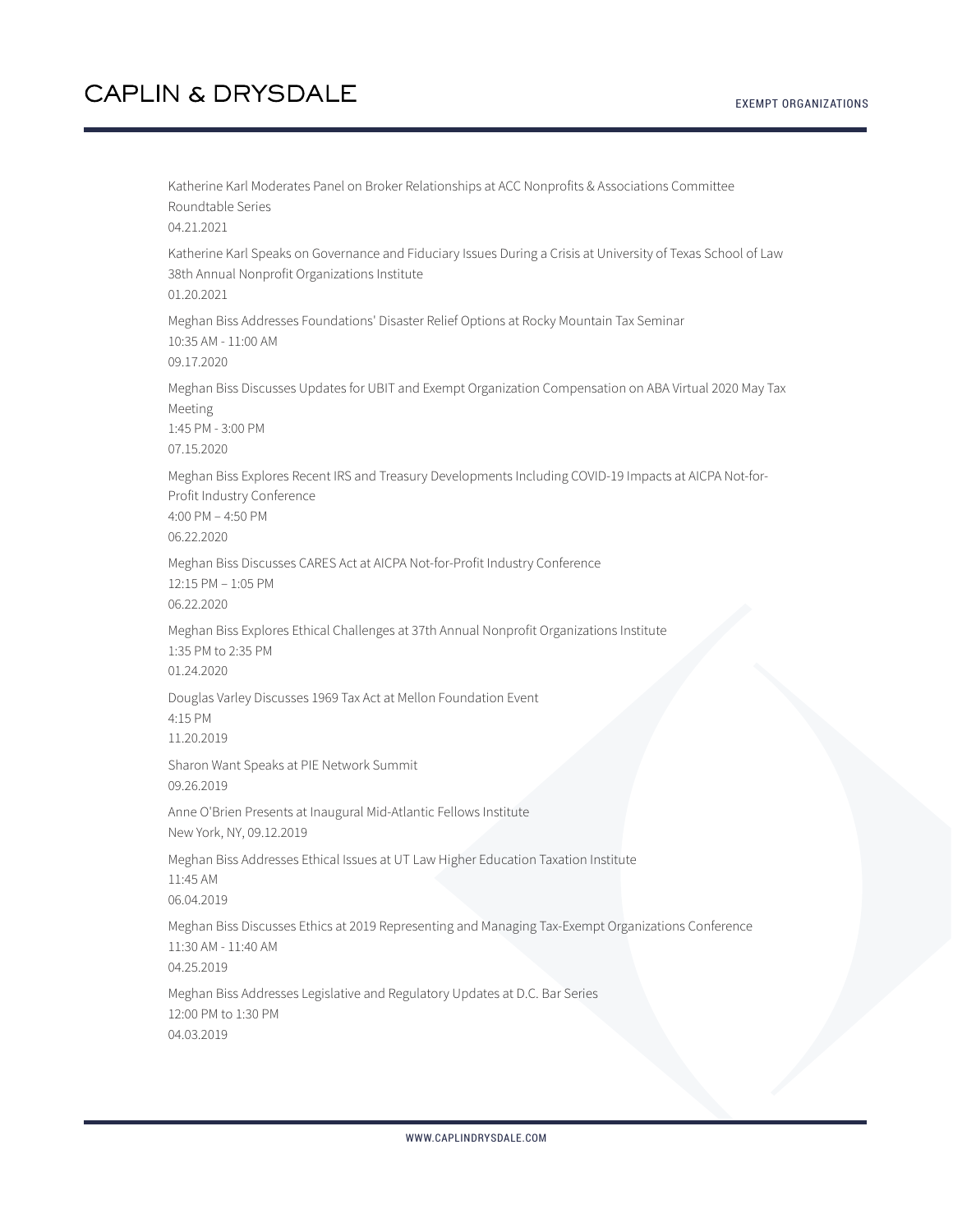Katherine Karl Moderates Panel on Broker Relationships at ACC Nonprofits & Associations Committee Roundtable Series 04.21.2021 Katherine Karl Speaks on Governance and Fiduciary Issues During a Crisis at University of Texas School of Law 38th Annual Nonprofit Organizations Institute 01.20.2021 Meghan Biss Addresses Foundations' Disaster Relief Options at Rocky Mountain Tax Seminar 10:35 AM - 11:00 AM 09.17.2020 Meghan Biss Discusses Updates for UBIT and Exempt Organization Compensation on ABA Virtual 2020 May Tax Meeting 1:45 PM - 3:00 PM 07.15.2020 Meghan Biss Explores Recent IRS and Treasury Developments Including COVID-19 Impacts at AICPA Not-for-Profit Industry Conference 4:00 PM – 4:50 PM 06.22.2020 Meghan Biss Discusses CARES Act at AICPA Not-for-Profit Industry Conference 12:15 PM – 1:05 PM 06.22.2020 Meghan Biss Explores Ethical Challenges at 37th Annual Nonprofit Organizations Institute 1:35 PM to 2:35 PM 01.24.2020 Douglas Varley Discusses 1969 Tax Act at Mellon Foundation Event 4:15 PM 11.20.2019 Sharon Want Speaks at PIE Network Summit 09.26.2019 Anne O'Brien Presents at Inaugural Mid-Atlantic Fellows Institute New York, NY, 09.12.2019 Meghan Biss Addresses Ethical Issues at UT Law Higher Education Taxation Institute 11:45 AM 06.04.2019 Meghan Biss Discusses Ethics at 2019 Representing and Managing Tax-Exempt Organizations Conference 11:30 AM - 11:40 AM 04.25.2019 Meghan Biss Addresses Legislative and Regulatory Updates at D.C. Bar Series 12:00 PM to 1:30 PM 04.03.2019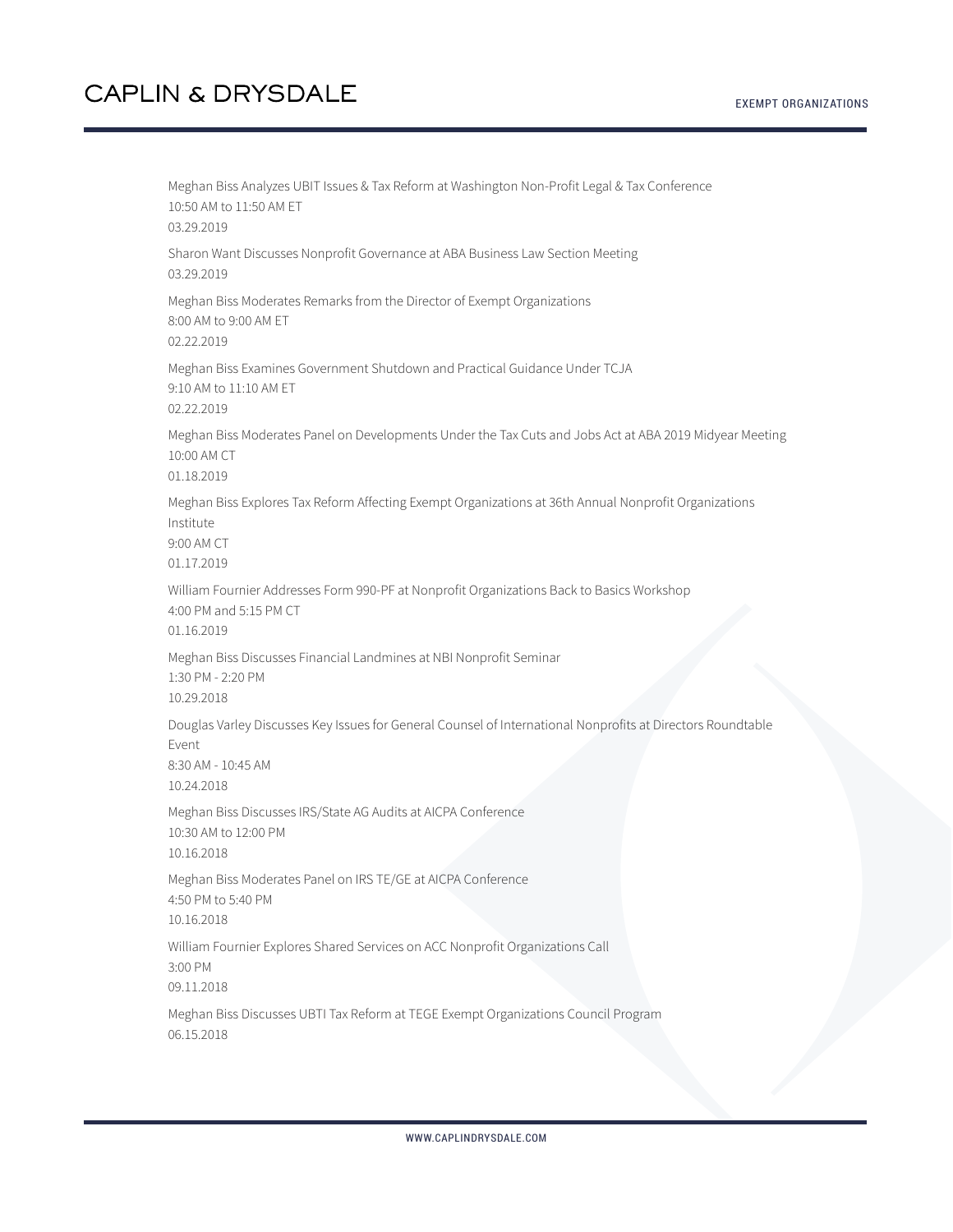EXEMPT ORGANIZATIONS

Meghan Biss Analyzes UBIT Issues & Tax Reform at Washington Non-Profit Legal & Tax Conference 10:50 AM to 11:50 AM ET 03.29.2019 Sharon Want Discusses Nonprofit Governance at ABA Business Law Section Meeting 03.29.2019 Meghan Biss Moderates Remarks from the Director of Exempt Organizations 8:00 AM to 9:00 AM ET 02.22.2019 Meghan Biss Examines Government Shutdown and Practical Guidance Under TCJA 9:10 AM to 11:10 AM ET 02.22.2019 Meghan Biss Moderates Panel on Developments Under the Tax Cuts and Jobs Act at ABA 2019 Midyear Meeting 10:00 AM CT 01.18.2019 Meghan Biss Explores Tax Reform Affecting Exempt Organizations at 36th Annual Nonprofit Organizations Institute 9:00 AM CT 01.17.2019 William Fournier Addresses Form 990-PF at Nonprofit Organizations Back to Basics Workshop 4:00 PM and 5:15 PM CT 01.16.2019 Meghan Biss Discusses Financial Landmines at NBI Nonprofit Seminar 1:30 PM - 2:20 PM 10.29.2018 Douglas Varley Discusses Key Issues for General Counsel of International Nonprofits at Directors Roundtable Event 8:30 AM - 10:45 AM 10.24.2018 Meghan Biss Discusses IRS/State AG Audits at AICPA Conference 10:30 AM to 12:00 PM 10.16.2018 Meghan Biss Moderates Panel on IRS TE/GE at AICPA Conference 4:50 PM to 5:40 PM 10.16.2018 William Fournier Explores Shared Services on ACC Nonprofit Organizations Call 3:00 PM 09.11.2018 Meghan Biss Discusses UBTI Tax Reform at TEGE Exempt Organizations Council Program 06.15.2018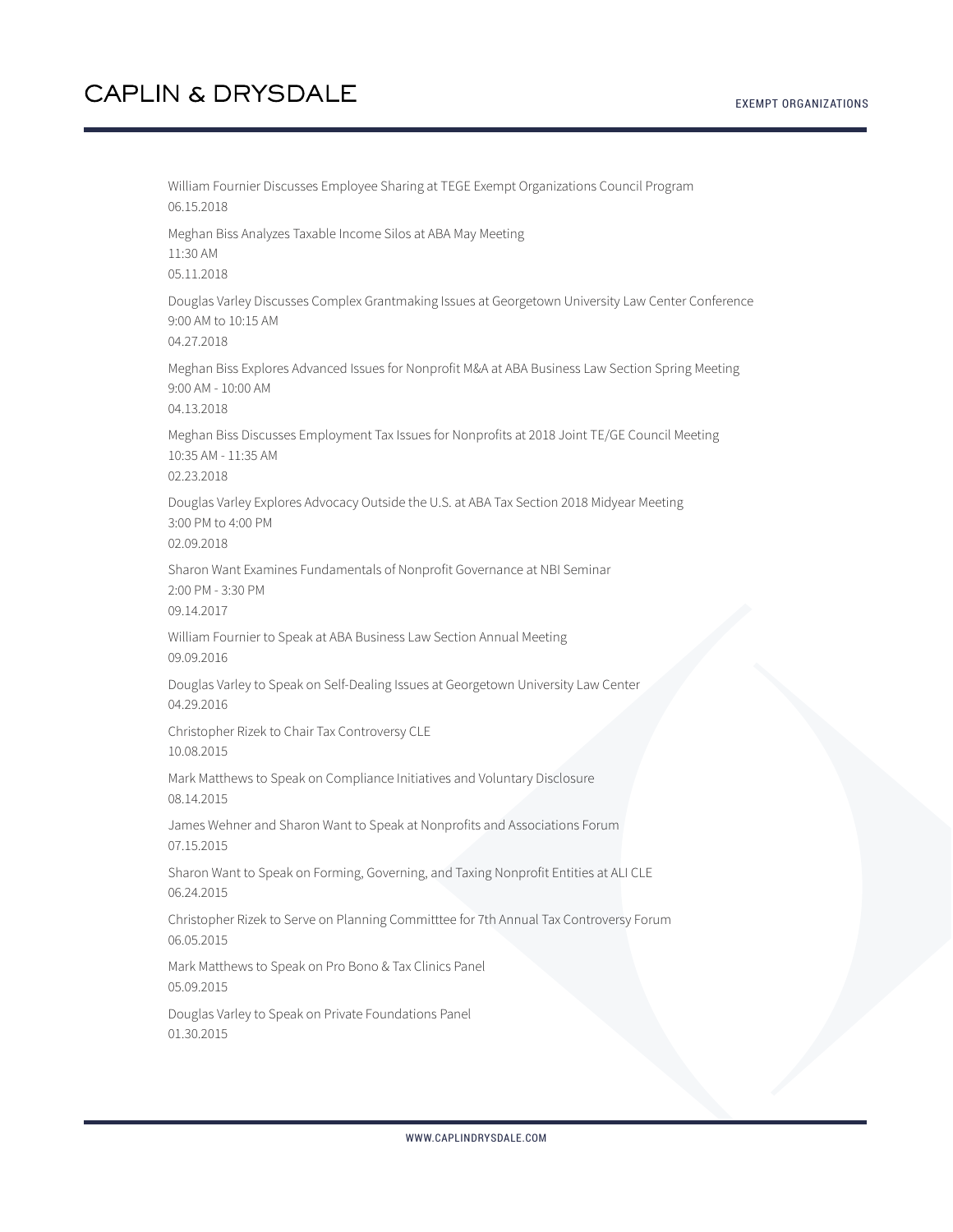William Fournier Discusses Employee Sharing at TEGE Exempt Organizations Council Program 06.15.2018 Meghan Biss Analyzes Taxable Income Silos at ABA May Meeting 11:30 AM 05.11.2018 Douglas Varley Discusses Complex Grantmaking Issues at Georgetown University Law Center Conference 9:00 AM to 10:15 AM 04.27.2018 Meghan Biss Explores Advanced Issues for Nonprofit M&A at ABA Business Law Section Spring Meeting 9:00 AM - 10:00 AM 04.13.2018 Meghan Biss Discusses Employment Tax Issues for Nonprofits at 2018 Joint TE/GE Council Meeting 10:35 AM - 11:35 AM 02.23.2018 Douglas Varley Explores Advocacy Outside the U.S. at ABA Tax Section 2018 Midyear Meeting 3:00 PM to 4:00 PM 02.09.2018 Sharon Want Examines Fundamentals of Nonprofit Governance at NBI Seminar 2:00 PM - 3:30 PM 09.14.2017 William Fournier to Speak at ABA Business Law Section Annual Meeting 09.09.2016 Douglas Varley to Speak on Self-Dealing Issues at Georgetown University Law Center 04.29.2016 Christopher Rizek to Chair Tax Controversy CLE 10.08.2015 Mark Matthews to Speak on Compliance Initiatives and Voluntary Disclosure 08.14.2015 James Wehner and Sharon Want to Speak at Nonprofits and Associations Forum 07.15.2015 Sharon Want to Speak on Forming, Governing, and Taxing Nonprofit Entities at ALI CLE 06.24.2015 Christopher Rizek to Serve on Planning Committtee for 7th Annual Tax Controversy Forum 06.05.2015 Mark Matthews to Speak on Pro Bono & Tax Clinics Panel 05.09.2015 Douglas Varley to Speak on Private Foundations Panel 01.30.2015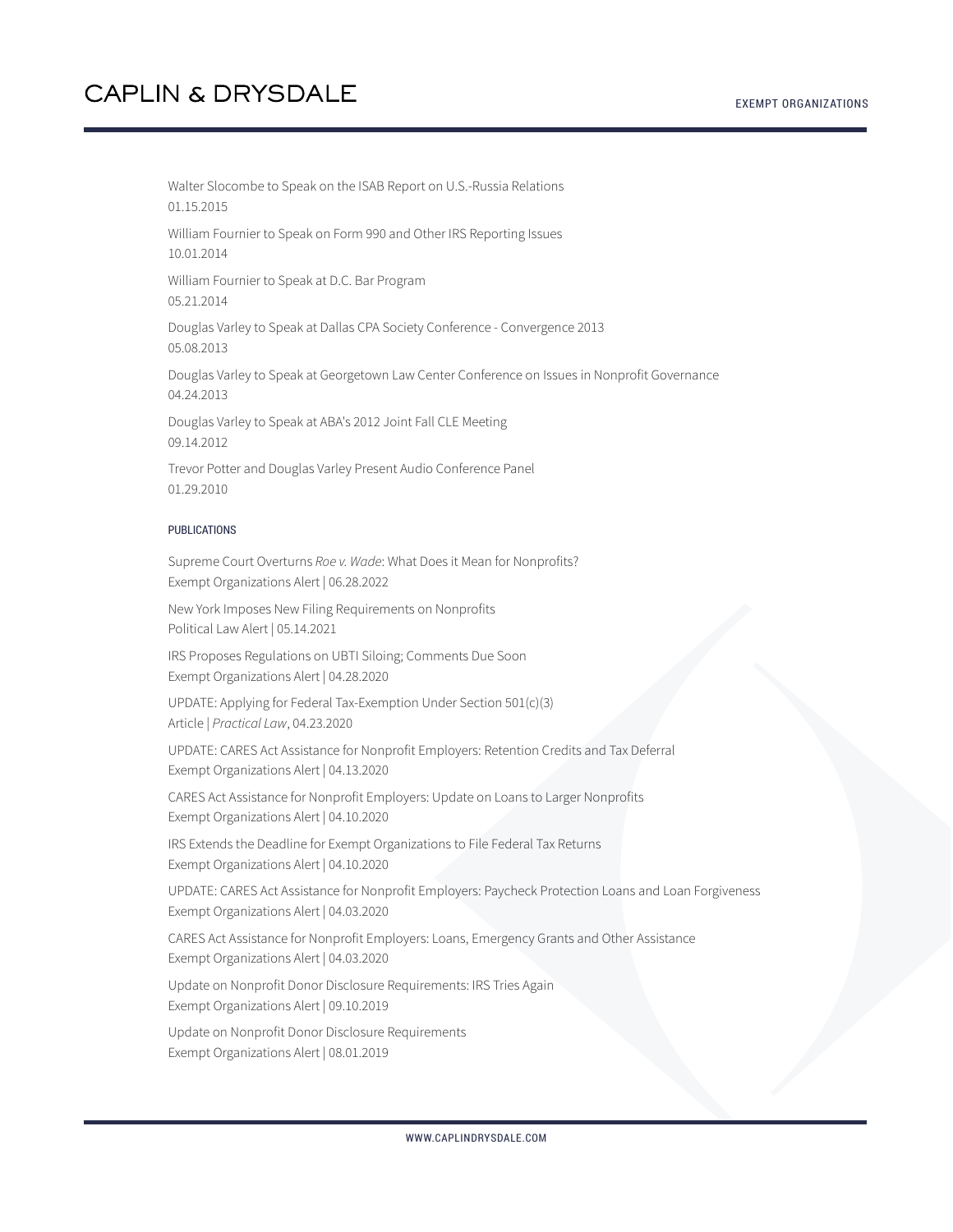Walter Slocombe to Speak on the ISAB Report on U.S.-Russia Relations 01.15.2015

William Fournier to Speak on Form 990 and Other IRS Reporting Issues 10.01.2014

William Fournier to Speak at D.C. Bar Program 05.21.2014

Douglas Varley to Speak at Dallas CPA Society Conference - Convergence 2013 05.08.2013

Douglas Varley to Speak at Georgetown Law Center Conference on Issues in Nonprofit Governance 04.24.2013

Douglas Varley to Speak at ABA's 2012 Joint Fall CLE Meeting 09.14.2012

Trevor Potter and Douglas Varley Present Audio Conference Panel 01.29.2010

#### PUBLICATIONS

Supreme Court Overturns *Roe v. Wade*: What Does it Mean for Nonprofits? Exempt Organizations Alert | 06.28.2022

New York Imposes New Filing Requirements on Nonprofits Political Law Alert | 05.14.2021

IRS Proposes Regulations on UBTI Siloing; Comments Due Soon Exempt Organizations Alert | 04.28.2020

UPDATE: Applying for Federal Tax-Exemption Under Section 501(c)(3) Article | *Practical Law*, 04.23.2020

UPDATE: CARES Act Assistance for Nonprofit Employers: Retention Credits and Tax Deferral Exempt Organizations Alert | 04.13.2020

CARES Act Assistance for Nonprofit Employers: Update on Loans to Larger Nonprofits Exempt Organizations Alert | 04.10.2020

IRS Extends the Deadline for Exempt Organizations to File Federal Tax Returns Exempt Organizations Alert | 04.10.2020

UPDATE: CARES Act Assistance for Nonprofit Employers: Paycheck Protection Loans and Loan Forgiveness Exempt Organizations Alert | 04.03.2020

CARES Act Assistance for Nonprofit Employers: Loans, Emergency Grants and Other Assistance Exempt Organizations Alert | 04.03.2020

Update on Nonprofit Donor Disclosure Requirements: IRS Tries Again Exempt Organizations Alert | 09.10.2019

Update on Nonprofit Donor Disclosure Requirements Exempt Organizations Alert | 08.01.2019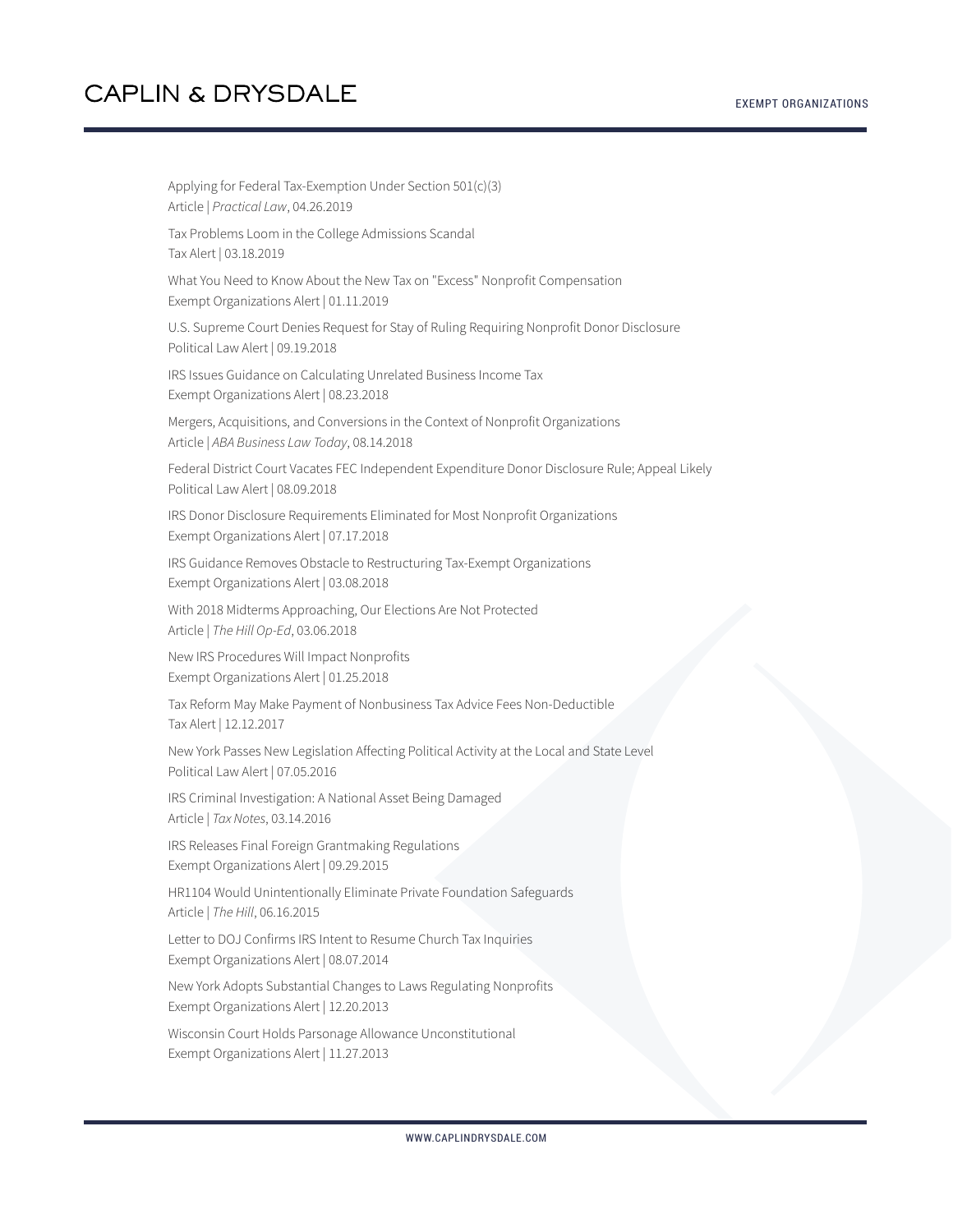Applying for Federal Tax-Exemption Under Section 501(c)(3) Article | *Practical Law*, 04.26.2019 Tax Problems Loom in the College Admissions Scandal Tax Alert | 03.18.2019 What You Need to Know About the New Tax on "Excess" Nonprofit Compensation Exempt Organizations Alert | 01.11.2019 U.S. Supreme Court Denies Request for Stay of Ruling Requiring Nonprofit Donor Disclosure Political Law Alert | 09.19.2018 IRS Issues Guidance on Calculating Unrelated Business Income Tax Exempt Organizations Alert | 08.23.2018 Mergers, Acquisitions, and Conversions in the Context of Nonprofit Organizations Article | *ABA Business Law Today*, 08.14.2018 Federal District Court Vacates FEC Independent Expenditure Donor Disclosure Rule; Appeal Likely Political Law Alert | 08.09.2018 IRS Donor Disclosure Requirements Eliminated for Most Nonprofit Organizations Exempt Organizations Alert | 07.17.2018 IRS Guidance Removes Obstacle to Restructuring Tax-Exempt Organizations Exempt Organizations Alert | 03.08.2018 With 2018 Midterms Approaching, Our Elections Are Not Protected Article | *The Hill Op-Ed*, 03.06.2018 New IRS Procedures Will Impact Nonprofits Exempt Organizations Alert | 01.25.2018 Tax Reform May Make Payment of Nonbusiness Tax Advice Fees Non-Deductible Tax Alert | 12.12.2017 New York Passes New Legislation Affecting Political Activity at the Local and State Level Political Law Alert | 07.05.2016 IRS Criminal Investigation: A National Asset Being Damaged Article | *Tax Notes*, 03.14.2016 IRS Releases Final Foreign Grantmaking Regulations Exempt Organizations Alert | 09.29.2015 HR1104 Would Unintentionally Eliminate Private Foundation Safeguards Article | *The Hill*, 06.16.2015 Letter to DOJ Confirms IRS Intent to Resume Church Tax Inquiries Exempt Organizations Alert | 08.07.2014 New York Adopts Substantial Changes to Laws Regulating Nonprofits Exempt Organizations Alert | 12.20.2013 Wisconsin Court Holds Parsonage Allowance Unconstitutional Exempt Organizations Alert | 11.27.2013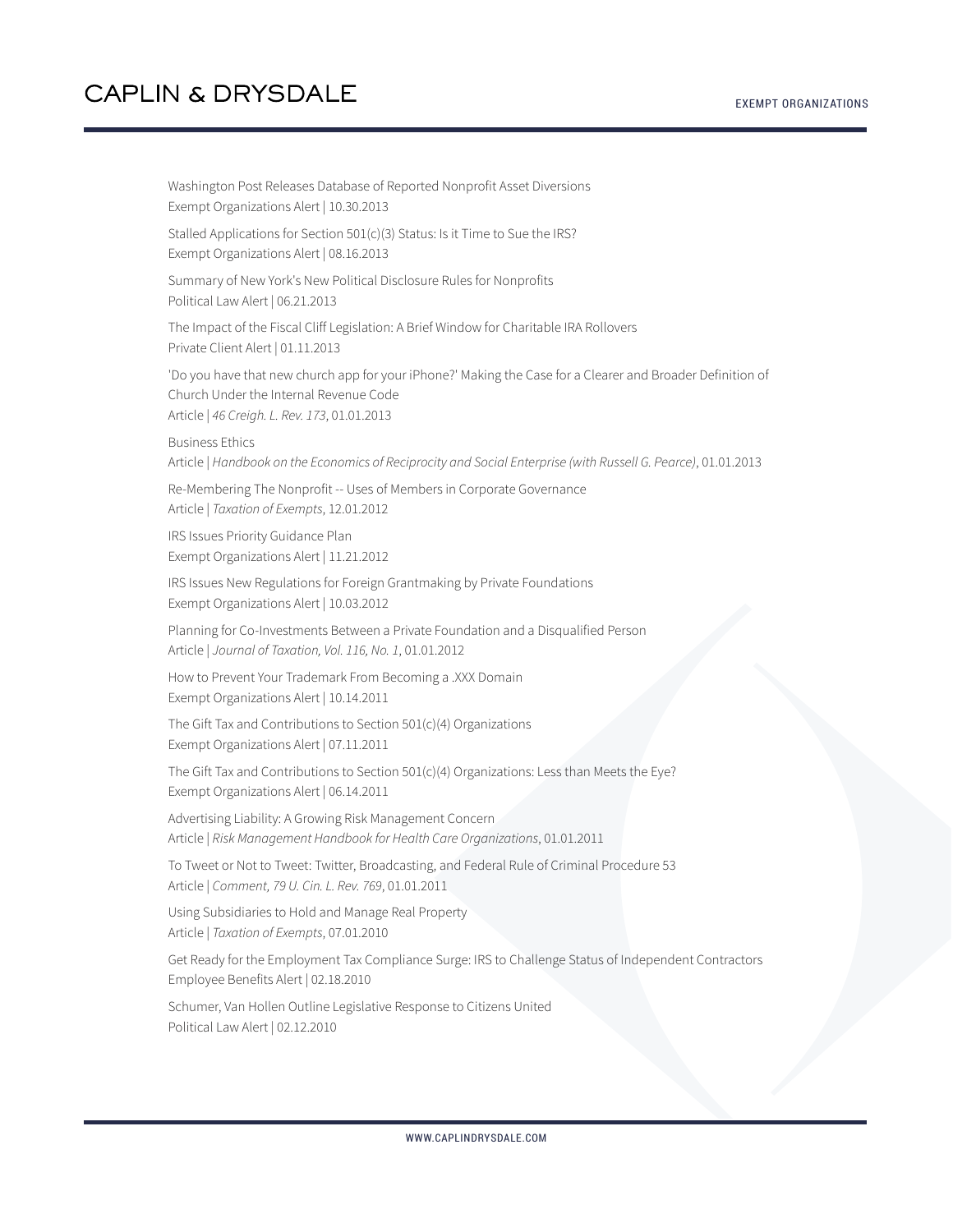Washington Post Releases Database of Reported Nonprofit Asset Diversions Exempt Organizations Alert | 10.30.2013 Stalled Applications for Section 501(c)(3) Status: Is it Time to Sue the IRS? Exempt Organizations Alert | 08.16.2013 Summary of New York's New Political Disclosure Rules for Nonprofits Political Law Alert | 06.21.2013 The Impact of the Fiscal Cliff Legislation: A Brief Window for Charitable IRA Rollovers Private Client Alert | 01.11.2013 'Do you have that new church app for your iPhone?' Making the Case for a Clearer and Broader Definition of Church Under the Internal Revenue Code Article | *46 Creigh. L. Rev. 173*, 01.01.2013 Business Ethics Article | *Handbook on the Economics of Reciprocity and Social Enterprise (with Russell G. Pearce)*, 01.01.2013 Re-Membering The Nonprofit -- Uses of Members in Corporate Governance Article | *Taxation of Exempts*, 12.01.2012 IRS Issues Priority Guidance Plan Exempt Organizations Alert | 11.21.2012 IRS Issues New Regulations for Foreign Grantmaking by Private Foundations Exempt Organizations Alert | 10.03.2012 Planning for Co-Investments Between a Private Foundation and a Disqualified Person Article | *Journal of Taxation, Vol. 116, No. 1*, 01.01.2012 How to Prevent Your Trademark From Becoming a .XXX Domain Exempt Organizations Alert | 10.14.2011 The Gift Tax and Contributions to Section 501(c)(4) Organizations Exempt Organizations Alert | 07.11.2011 The Gift Tax and Contributions to Section 501(c)(4) Organizations: Less than Meets the Eye? Exempt Organizations Alert | 06.14.2011 Advertising Liability: A Growing Risk Management Concern Article | *Risk Management Handbook for Health Care Organizations*, 01.01.2011 To Tweet or Not to Tweet: Twitter, Broadcasting, and Federal Rule of Criminal Procedure 53 Article | *Comment, 79 U. Cin. L. Rev. 769*, 01.01.2011 Using Subsidiaries to Hold and Manage Real Property Article | *Taxation of Exempts*, 07.01.2010 Get Ready for the Employment Tax Compliance Surge: IRS to Challenge Status of Independent Contractors Employee Benefits Alert | 02.18.2010 Schumer, Van Hollen Outline Legislative Response to Citizens United Political Law Alert | 02.12.2010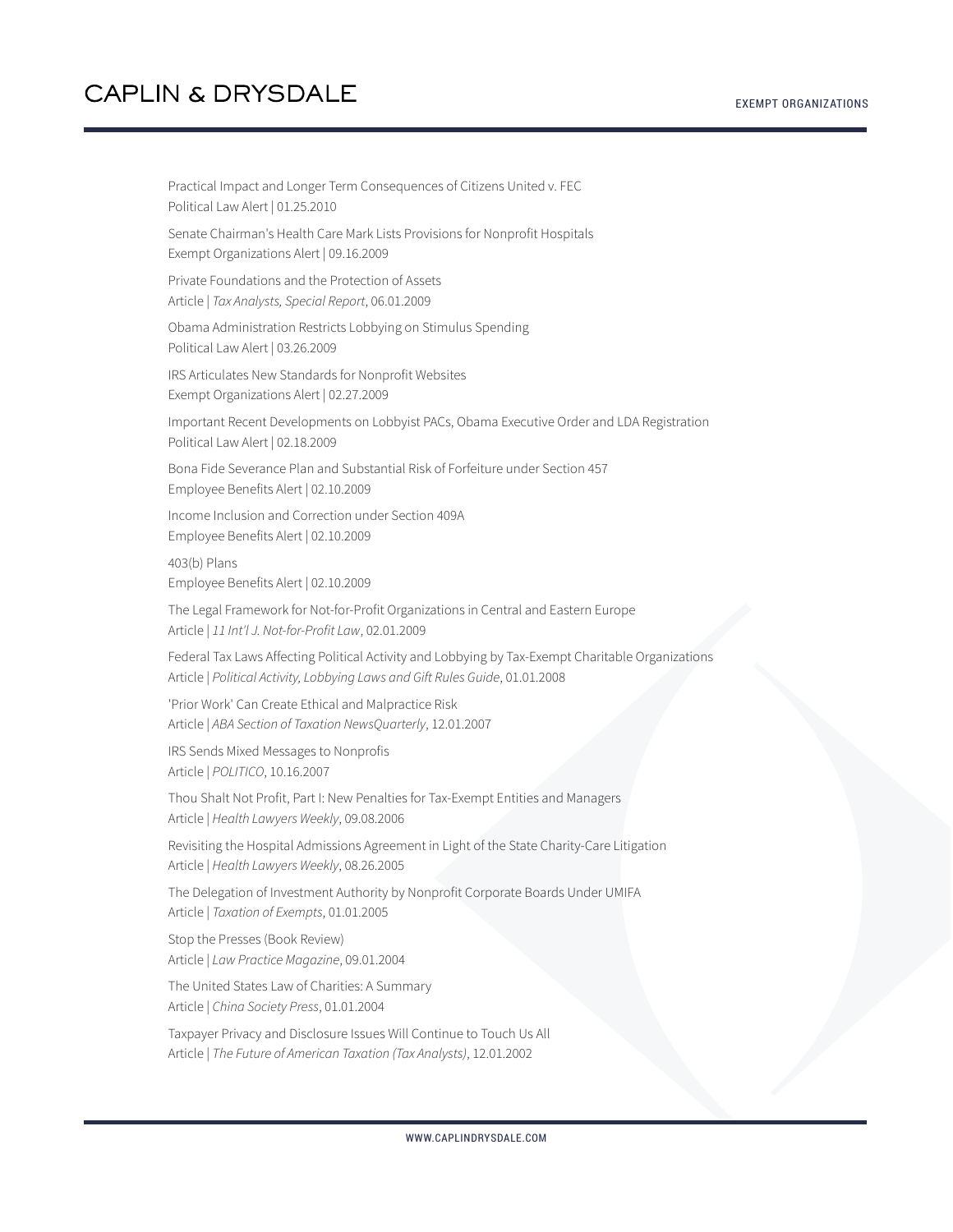Practical Impact and Longer Term Consequences of Citizens United v. FEC Political Law Alert | 01.25.2010 Senate Chairman's Health Care Mark Lists Provisions for Nonprofit Hospitals Exempt Organizations Alert | 09.16.2009 Private Foundations and the Protection of Assets Article | *Tax Analysts, Special Report*, 06.01.2009 Obama Administration Restricts Lobbying on Stimulus Spending Political Law Alert | 03.26.2009 IRS Articulates New Standards for Nonprofit Websites Exempt Organizations Alert | 02.27.2009 Important Recent Developments on Lobbyist PACs, Obama Executive Order and LDA Registration Political Law Alert | 02.18.2009 Bona Fide Severance Plan and Substantial Risk of Forfeiture under Section 457 Employee Benefits Alert | 02.10.2009 Income Inclusion and Correction under Section 409A Employee Benefits Alert | 02.10.2009 403(b) Plans Employee Benefits Alert | 02.10.2009 The Legal Framework for Not-for-Profit Organizations in Central and Eastern Europe Article | *11 Int'l J. Not-for-Profit Law*, 02.01.2009 Federal Tax Laws Affecting Political Activity and Lobbying by Tax-Exempt Charitable Organizations Article | *Political Activity, Lobbying Laws and Gift Rules Guide*, 01.01.2008 'Prior Work' Can Create Ethical and Malpractice Risk Article | *ABA Section of Taxation NewsQuarterly*, 12.01.2007 IRS Sends Mixed Messages to Nonprofis Article | *POLITICO*, 10.16.2007 Thou Shalt Not Profit, Part I: New Penalties for Tax-Exempt Entities and Managers Article | *Health Lawyers Weekly*, 09.08.2006 Revisiting the Hospital Admissions Agreement in Light of the State Charity-Care Litigation Article | *Health Lawyers Weekly*, 08.26.2005 The Delegation of Investment Authority by Nonprofit Corporate Boards Under UMIFA Article | *Taxation of Exempts*, 01.01.2005 Stop the Presses (Book Review) Article | *Law Practice Magazine*, 09.01.2004 The United States Law of Charities: A Summary Article | *China Society Press*, 01.01.2004 Taxpayer Privacy and Disclosure Issues Will Continue to Touch Us All

Article | *The Future of American Taxation (Tax Analysts)*, 12.01.2002